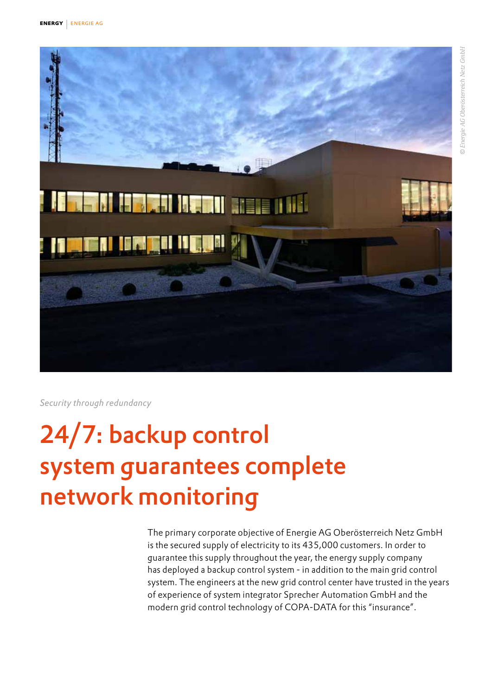



*Security through redundancy*

# 24/7: backup control system guarantees complete network monitoring

The primary corporate objective of Energie AG Oberösterreich Netz GmbH is the secured supply of electricity to its 435,000 customers. In order to guarantee this supply throughout the year, the energy supply company has deployed a backup control system - in addition to the main grid control system. The engineers at the new grid control center have trusted in the years of experience of system integrator Sprecher Automation GmbH and the modern grid control technology of COPA-DATA for this "insurance".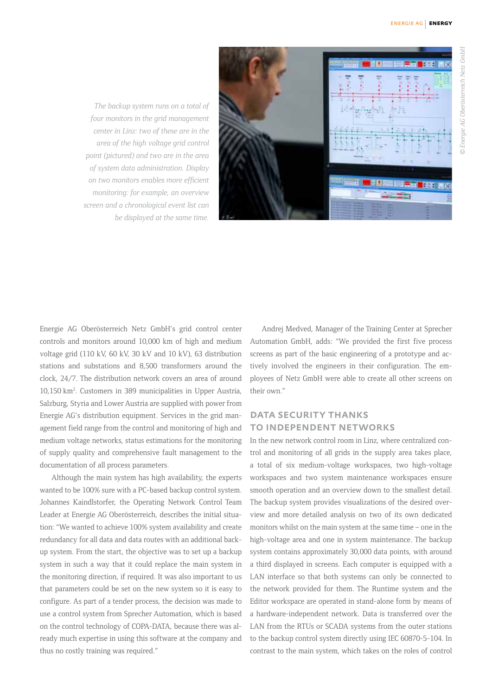

*The backup system runs on a total of four monitors in the grid management center in Linz: two of these are in the area of the high voltage grid control point (pictured) and two are in the area of system data administration. Display on two monitors enables more efficient monitoring: for example, an overview screen and a chronological event list can be displayed at the same time.* 

Energie AG Oberösterreich Netz GmbH's grid control center controls and monitors around 10,000 km of high and medium voltage grid (110 kV, 60 kV, 30 kV and 10 kV), 63 distribution stations and substations and 8,500 transformers around the clock, 24/7. The distribution network covers an area of around 10,150 km2 . Customers in 389 municipalities in Upper Austria, Salzburg, Styria and Lower Austria are supplied with power from Energie AG's distribution equipment. Services in the grid management field range from the control and monitoring of high and medium voltage networks, status estimations for the monitoring of supply quality and comprehensive fault management to the documentation of all process parameters.

Although the main system has high availability, the experts wanted to be 100% sure with a PC-based backup control system. Johannes Kaindlstorfer, the Operating Network Control Team Leader at Energie AG Oberösterreich, describes the initial situation: "We wanted to achieve 100% system availability and create redundancy for all data and data routes with an additional backup system. From the start, the objective was to set up a backup system in such a way that it could replace the main system in the monitoring direction, if required. It was also important to us that parameters could be set on the new system so it is easy to configure. As part of a tender process, the decision was made to use a control system from Sprecher Automation, which is based on the control technology of COPA-DATA, because there was already much expertise in using this software at the company and thus no costly training was required."

Andrej Medved, Manager of the Training Center at Sprecher Automation GmbH, adds: "We provided the first five process screens as part of the basic engineering of a prototype and actively involved the engineers in their configuration. The employees of Netz GmbH were able to create all other screens on their own."

### DATA SECURITY THANKS to independent networks

In the new network control room in Linz, where centralized control and monitoring of all grids in the supply area takes place, a total of six medium-voltage workspaces, two high-voltage workspaces and two system maintenance workspaces ensure smooth operation and an overview down to the smallest detail. The backup system provides visualizations of the desired overview and more detailed analysis on two of its own dedicated monitors whilst on the main system at the same time – one in the high-voltage area and one in system maintenance. The backup system contains approximately 30,000 data points, with around a third displayed in screens. Each computer is equipped with a LAN interface so that both systems can only be connected to the network provided for them. The Runtime system and the Editor workspace are operated in stand-alone form by means of a hardware-independent network. Data is transferred over the LAN from the RTUs or SCADA systems from the outer stations to the backup control system directly using IEC 60870-5-104. In contrast to the main system, which takes on the roles of control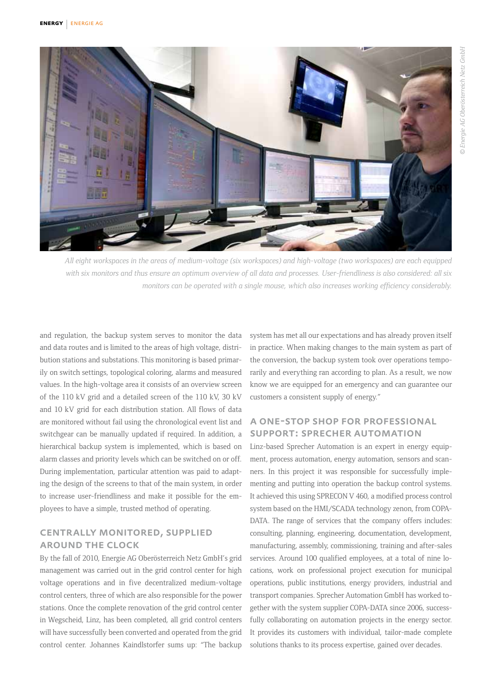

*All eight workspaces in the areas of medium-voltage (six workspaces) and high-voltage (two workspaces) are each equipped with six monitors and thus ensure an optimum overview of all data and processes. User-friendliness is also considered: all six monitors can be operated with a single mouse, which also increases working efficiency considerably.*

and regulation, the backup system serves to monitor the data and data routes and is limited to the areas of high voltage, distribution stations and substations. This monitoring is based primarily on switch settings, topological coloring, alarms and measured values. In the high-voltage area it consists of an overview screen of the 110 kV grid and a detailed screen of the 110 kV, 30 kV and 10 kV grid for each distribution station. All flows of data are monitored without fail using the chronological event list and switchgear can be manually updated if required. In addition, a hierarchical backup system is implemented, which is based on alarm classes and priority levels which can be switched on or off. During implementation, particular attention was paid to adapting the design of the screens to that of the main system, in order to increase user-friendliness and make it possible for the employees to have a simple, trusted method of operating.

#### centrally monitored, supplied around the clock

By the fall of 2010, Energie AG Oberösterreich Netz GmbH's grid management was carried out in the grid control center for high voltage operations and in five decentralized medium-voltage control centers, three of which are also responsible for the power stations. Once the complete renovation of the grid control center in Wegscheid, Linz, has been completed, all grid control centers will have successfully been converted and operated from the grid control center. Johannes Kaindlstorfer sums up: "The backup system has met all our expectations and has already proven itself in practice. When making changes to the main system as part of the conversion, the backup system took over operations temporarily and everything ran according to plan. As a result, we now know we are equipped for an emergency and can guarantee our customers a consistent supply of energy."

## a one-stop shop for professional support: sprecher automation

Linz-based Sprecher Automation is an expert in energy equipment, process automation, energy automation, sensors and scanners. In this project it was responsible for successfully implementing and putting into operation the backup control systems. It achieved this using SPRECON V 460, a modified process control system based on the HMI/SCADA technology zenon, from COPA-DATA. The range of services that the company offers includes: consulting, planning, engineering, documentation, development, manufacturing, assembly, commissioning, training and after-sales services. Around 100 qualified employees, at a total of nine locations, work on professional project execution for municipal operations, public institutions, energy providers, industrial and transport companies. Sprecher Automation GmbH has worked together with the system supplier COPA-DATA since 2006, successfully collaborating on automation projects in the energy sector. It provides its customers with individual, tailor-made complete solutions thanks to its process expertise, gained over decades.